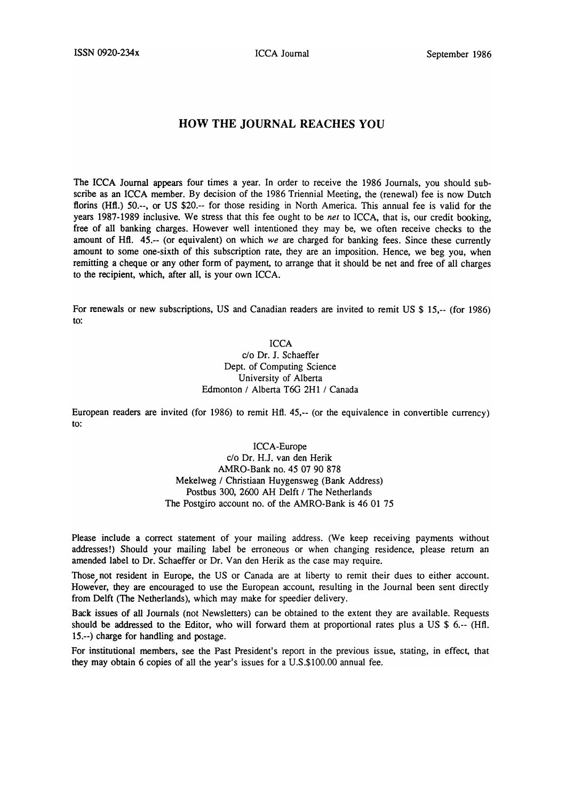## **HOW THE JOURNAL REACHES YOU**

The ICCA Journal appears four times a year. In order to receive the 1986 Journals, you should subscribe as an ICCA member. By decision of the 1986 Triennial Meeting, the (renewal) fee is now Dutch florins (Hfl.) 50.--, or US \$20.-- for those residing in North America. This annual fee is valid for the years 1987-1989 inclusive. We stress that this fee ought to be *net* to ICCA, that is, our credit booking, free of all banking charges. However well intentioned they may be, we often receive checks to the amount of Hfl. 45.-- (or equivalent) on which *we* are charged for banking fees. Since these currently amount to some one-sixth of this subscription rate, they are an imposition. Hence, we beg you, when remitting a cheque or any other form of payment, to arrange that it should be net and free of all charges to the recipient, which, after all, is your own ICCA.

For renewals or new subscriptions, US and Canadian readers are invited to remit US \$ 15,-- (for 1986) to:

ICCA

c/o Dr. J. Schaeffer Dept. of Computing Science University of Alberta Edmonton / Alberta T6G 2H1 / Canada

European readers are invited (for 1986) to remit Hfl. 45,-- (or the equivalence in convertible currency) to:

> ICC A-Europe c/o Dr. H.J. van den Herik AMRO-Bank no. 45 07 90 878 Mekelweg / Christiaan Huygensweg (Bank Address) Postbus 300, 2600 AH Delft / The Netherlands The Postgiro account no. of the AMRO-Bank is 46 01 75

Please include a correct statement of your mailing address. (We keep receiving payments without addresses!) Should your mailing label be erroneous or when changing residence, please return an amended label to Dr. Schaeffer or Dr. Van den Herik as the case may require.

Those not resident in Europe, the US or Canada are at liberty to remit their dues to either account. However, they are encouraged to use the European account, resulting in the Journal been sent directly from Delft (The Netherlands), which may make for speedier delivery.

Back issues of all Journals (not Newsletters) can be obtained to the extent they are available. Requests should be addressed to the Editor, who will forward them at proportional rates plus a US \$ 6.-- (Hfl. 15.--) charge for handling and postage.

For institutional members, see the Past President's report in the previous issue, stating, in effect, that they may obtain 6 copies of all the year's issues for a U.S.\$100.00 annual fee.